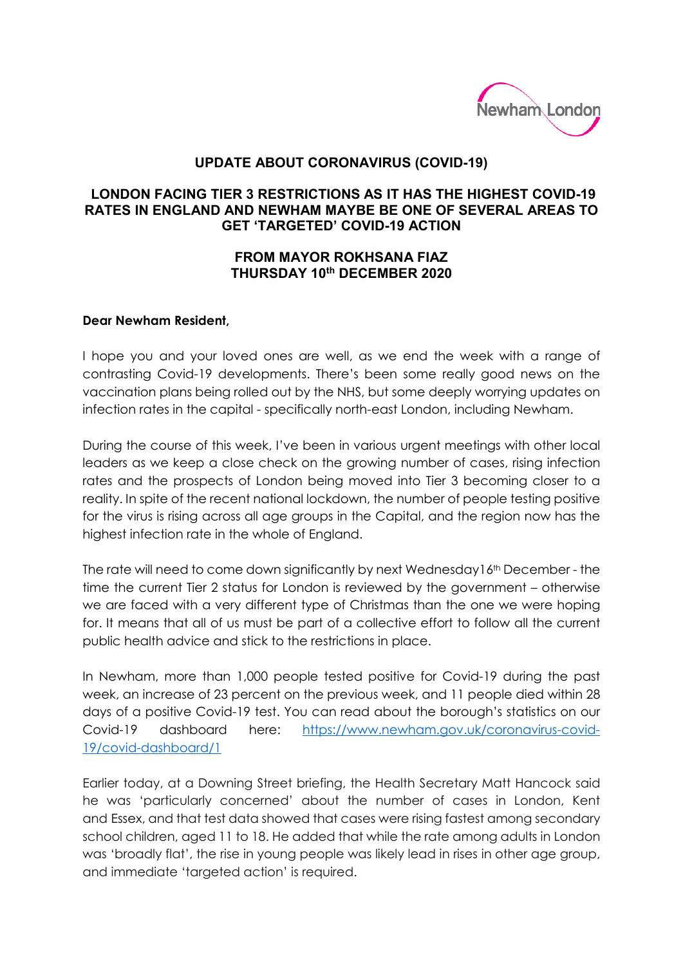

## **UPDATE ABOUT CORONAVIRUS (COVID-19)**

## **LONDON FACING TIER 3 RESTRICTIONS AS IT HAS THE HIGHEST COVID-19 RATES IN ENGLAND AND NEWHAM MAYBE BE ONE OF SEVERAL AREAS TO GET 'TARGETED' COVID-19 ACTION**

## **FROM MAYOR ROKHSANA FIAZ THURSDAY 10th DECEMBER 2020**

## **Dear Newham Resident,**

I hope you and your loved ones are well, as we end the week with a range of contrasting Covid-19 developments. There's been some really good news on the vaccination plans being rolled out by the NHS, but some deeply worrying updates on infection rates in the capital - specifically north-east London, including Newham.

During the course of this week, I've been in various urgent meetings with other local leaders as we keep a close check on the growing number of cases, rising infection rates and the prospects of London being moved into Tier 3 becoming closer to a reality. In spite of the recent national lockdown, the number of people testing positive for the virus is rising across all age groups in the Capital, and the region now has the highest infection rate in the whole of England.

The rate will need to come down significantly by next Wednesday16<sup>th</sup> December - the time the current Tier 2 status for London is reviewed by the government – otherwise we are faced with a very different type of Christmas than the one we were hoping for. It means that all of us must be part of a collective effort to follow all the current public health advice and stick to the restrictions in place.

In Newham, more than 1,000 people tested positive for Covid-19 during the past week, an increase of 23 percent on the previous week, and 11 people died within 28 days of a positive Covid-19 test. You can read about the borough's statistics on our Covid-19 dashboard here: [https://www.newham.gov.uk/coronavirus-covid-](https://www.newham.gov.uk/coronavirus-covid-19/covid-dashboard/1)[19/covid-dashboard/1](https://www.newham.gov.uk/coronavirus-covid-19/covid-dashboard/1)

Earlier today, at a Downing Street briefing, the Health Secretary Matt Hancock said he was 'particularly concerned' about the number of cases in London, Kent and Essex, and that test data showed that cases were rising fastest among secondary school children, aged 11 to 18. He added that while the rate among adults in London was 'broadly flat', the rise in young people was likely lead in rises in other age group, and immediate 'targeted action' is required.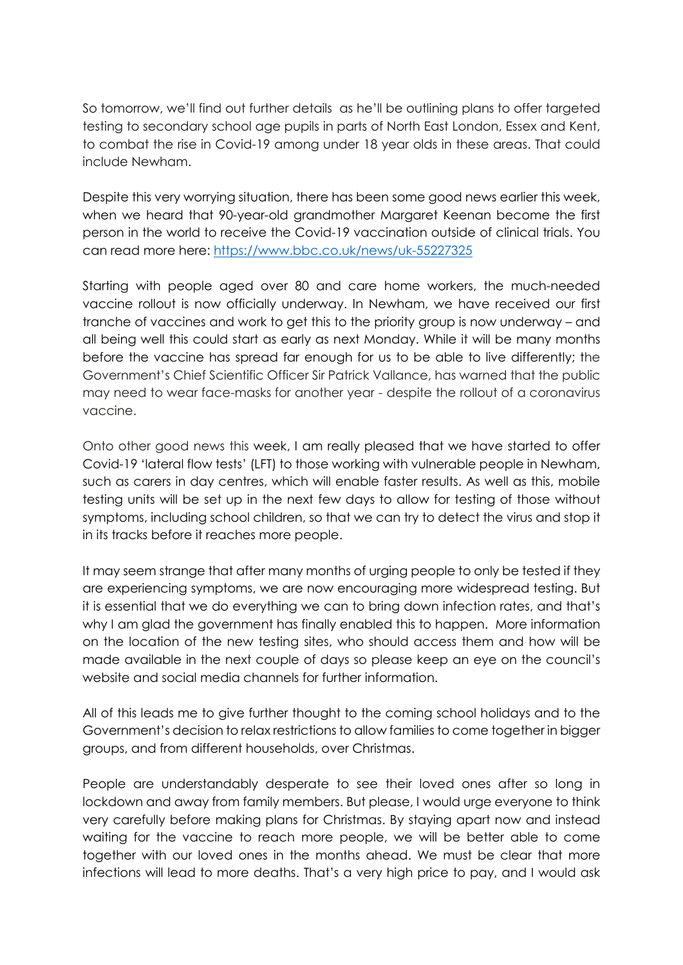So tomorrow, we'll find out further details as he'll be outlining plans to offer targeted testing to secondary school age pupils in parts of North East London, Essex and Kent, to combat the rise in Covid-19 among under 18 year olds in these areas. That could include Newham.

Despite this very worrying situation, there has been some good news earlier this week, when we heard that 90-year-old grandmother Margaret Keenan become the first person in the world to receive the Covid-19 vaccination outside of clinical trials. You can read more here:<https://www.bbc.co.uk/news/uk-55227325>

Starting with people aged over 80 and care home workers, the much-needed vaccine rollout is now officially underway. In Newham, we have received our first tranche of vaccines and work to get this to the priority group is now underway – and all being well this could start as early as next Monday. While it will be many months before the vaccine has spread far enough for us to be able to live differently; the Government's Chief Scientific Officer Sir Patrick Vallance, has warned that the public may need to wear [face-masks](https://www.standard.co.uk/topic/face-masks) for another year - despite the rollout of a coronavirus vaccine.

Onto other good news this week, I am really pleased that we have started to offer Covid-19 'lateral flow tests' (LFT) to those working with vulnerable people in Newham, such as carers in day centres, which will enable faster results. As well as this, mobile testing units will be set up in the next few days to allow for testing of those without symptoms, including school children, so that we can try to detect the virus and stop it in its tracks before it reaches more people.

It may seem strange that after many months of urging people to only be tested if they are experiencing symptoms, we are now encouraging more widespread testing. But it is essential that we do everything we can to bring down infection rates, and that's why I am glad the government has finally enabled this to happen. More information on the location of the new testing sites, who should access them and how will be made available in the next couple of days so please keep an eye on the council's website and social media channels for further information.

All of this leads me to give further thought to the coming school holidays and to the Government's decision to relax restrictions to allow families to come together in bigger groups, and from different households, over Christmas.

People are understandably desperate to see their loved ones after so long in lockdown and away from family members. But please, I would urge everyone to think very carefully before making plans for Christmas. By staying apart now and instead waiting for the vaccine to reach more people, we will be better able to come together with our loved ones in the months ahead. We must be clear that more infections will lead to more deaths. That's a very high price to pay, and I would ask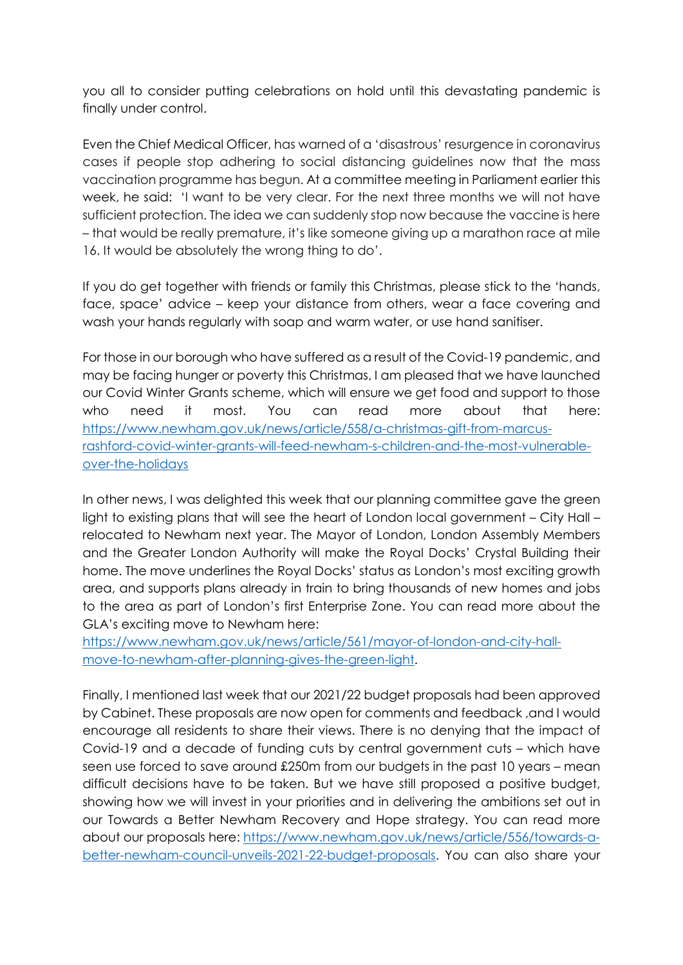you all to consider putting celebrations on hold until this devastating pandemic is finally under control.

Even the Chief Medical Officer, has warned of a 'disastrous' resurgence in coronavirus cases if people stop adhering to social distancing guidelines now that the mass vaccination programme has begun. At a committee meeting in Parliament earlier this week, he said: 'I want to be very clear. For the next three months we will not have sufficient protection. The idea we can suddenly stop now because the vaccine is here – that would be really premature, it's like someone giving up a marathon race at mile 16. It would be absolutely the wrong thing to do'.

If you do get together with friends or family this Christmas, please stick to the 'hands, face, space' advice – keep your distance from others, wear a face covering and wash your hands regularly with soap and warm water, or use hand sanitiser.

For those in our borough who have suffered as a result of the Covid-19 pandemic, and may be facing hunger or poverty this Christmas, I am pleased that we have launched our Covid Winter Grants scheme, which will ensure we get food and support to those who need it most. You can read more about that here: [https://www.newham.gov.uk/news/article/558/a-christmas-gift-from-marcus](https://www.newham.gov.uk/news/article/558/a-christmas-gift-from-marcus-rashford-covid-winter-grants-will-feed-newham-s-children-and-the-most-vulnerable-over-the-holidays)[rashford-covid-winter-grants-will-feed-newham-s-children-and-the-most-vulnerable](https://www.newham.gov.uk/news/article/558/a-christmas-gift-from-marcus-rashford-covid-winter-grants-will-feed-newham-s-children-and-the-most-vulnerable-over-the-holidays)[over-the-holidays](https://www.newham.gov.uk/news/article/558/a-christmas-gift-from-marcus-rashford-covid-winter-grants-will-feed-newham-s-children-and-the-most-vulnerable-over-the-holidays)

In other news, I was delighted this week that our planning committee gave the green light to existing plans that will see the heart of London local government – City Hall – relocated to Newham next year. The Mayor of London, London Assembly Members and the Greater London Authority will make the Royal Docks' Crystal Building their home. The move underlines the Royal Docks' status as London's most exciting growth area, and supports plans already in train to bring thousands of new homes and jobs to the area as part of London's first Enterprise Zone. You can read more about the GLA's exciting move to Newham here:

[https://www.newham.gov.uk/news/article/561/mayor-of-london-and-city-hall](https://www.newham.gov.uk/news/article/561/mayor-of-london-and-city-hall-move-to-newham-after-planning-gives-the-green-light)[move-to-newham-after-planning-gives-the-green-light.](https://www.newham.gov.uk/news/article/561/mayor-of-london-and-city-hall-move-to-newham-after-planning-gives-the-green-light)

Finally, I mentioned last week that our 2021/22 budget proposals had been approved by Cabinet. These proposals are now open for comments and feedback ,and I would encourage all residents to share their views. There is no denying that the impact of Covid-19 and a decade of funding cuts by central government cuts – which have seen use forced to save around £250m from our budgets in the past 10 years – mean difficult decisions have to be taken. But we have still proposed a positive budget, showing how we will invest in your priorities and in delivering the ambitions set out in our Towards a Better Newham Recovery and Hope strategy. You can read more about our proposals here: [https://www.newham.gov.uk/news/article/556/towards-a](https://www.newham.gov.uk/news/article/556/towards-a-better-newham-council-unveils-2021-22-budget-proposals)[better-newham-council-unveils-2021-22-budget-proposals.](https://www.newham.gov.uk/news/article/556/towards-a-better-newham-council-unveils-2021-22-budget-proposals) You can also share your